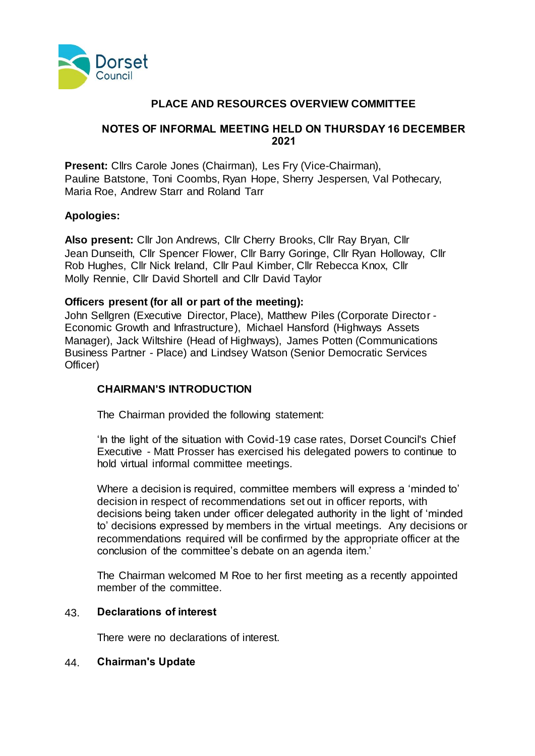

## **PLACE AND RESOURCES OVERVIEW COMMITTEE**

## **NOTES OF INFORMAL MEETING HELD ON THURSDAY 16 DECEMBER 2021**

**Present:** Cllrs Carole Jones (Chairman), Les Fry (Vice-Chairman), Pauline Batstone, Toni Coombs, Ryan Hope, Sherry Jespersen, Val Pothecary, Maria Roe, Andrew Starr and Roland Tarr

## **Apologies:**

**Also present:** Cllr Jon Andrews, Cllr Cherry Brooks, Cllr Ray Bryan, Cllr Jean Dunseith, Cllr Spencer Flower, Cllr Barry Goringe, Cllr Ryan Holloway, Cllr Rob Hughes, Cllr Nick Ireland, Cllr Paul Kimber, Cllr Rebecca Knox, Cllr Molly Rennie, Cllr David Shortell and Cllr David Taylor

## **Officers present (for all or part of the meeting):**

John Sellgren (Executive Director, Place), Matthew Piles (Corporate Director - Economic Growth and Infrastructure), Michael Hansford (Highways Assets Manager), Jack Wiltshire (Head of Highways), James Potten (Communications Business Partner - Place) and Lindsey Watson (Senior Democratic Services Officer)

# **CHAIRMAN'S INTRODUCTION**

The Chairman provided the following statement:

'In the light of the situation with Covid-19 case rates, Dorset Council's Chief Executive - Matt Prosser has exercised his delegated powers to continue to hold virtual informal committee meetings.

Where a decision is required, committee members will express a 'minded to' decision in respect of recommendations set out in officer reports, with decisions being taken under officer delegated authority in the light of 'minded to' decisions expressed by members in the virtual meetings. Any decisions or recommendations required will be confirmed by the appropriate officer at the conclusion of the committee's debate on an agenda item.'

The Chairman welcomed M Roe to her first meeting as a recently appointed member of the committee.

## 43. **Declarations of interest**

There were no declarations of interest.

#### 44. **Chairman's Update**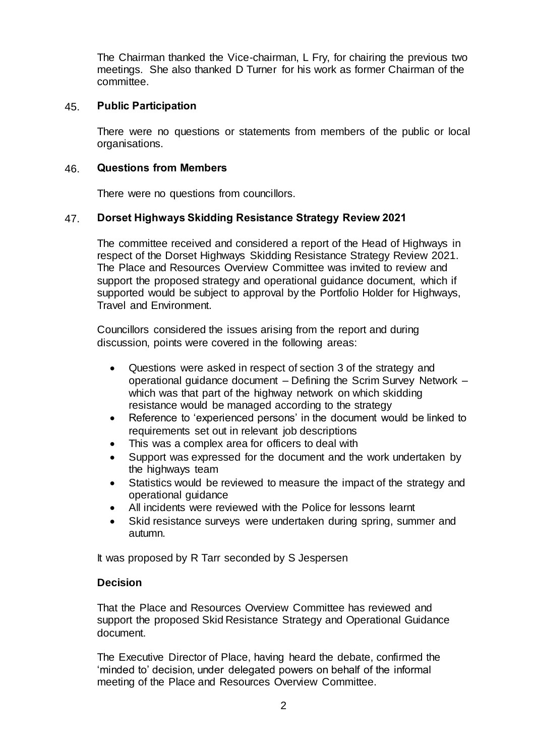The Chairman thanked the Vice-chairman, L Fry, for chairing the previous two meetings. She also thanked D Turner for his work as former Chairman of the committee.

#### 45. **Public Participation**

There were no questions or statements from members of the public or local organisations.

#### 46. **Questions from Members**

There were no questions from councillors.

#### 47. **Dorset Highways Skidding Resistance Strategy Review 2021**

The committee received and considered a report of the Head of Highways in respect of the Dorset Highways Skidding Resistance Strategy Review 2021. The Place and Resources Overview Committee was invited to review and support the proposed strategy and operational guidance document, which if supported would be subject to approval by the Portfolio Holder for Highways, Travel and Environment.

Councillors considered the issues arising from the report and during discussion, points were covered in the following areas:

- Questions were asked in respect of section 3 of the strategy and operational guidance document – Defining the Scrim Survey Network – which was that part of the highway network on which skidding resistance would be managed according to the strategy
- Reference to 'experienced persons' in the document would be linked to requirements set out in relevant job descriptions
- This was a complex area for officers to deal with
- Support was expressed for the document and the work undertaken by the highways team
- Statistics would be reviewed to measure the impact of the strategy and operational guidance
- All incidents were reviewed with the Police for lessons learnt
- Skid resistance surveys were undertaken during spring, summer and autumn.

It was proposed by R Tarr seconded by S Jespersen

## **Decision**

That the Place and Resources Overview Committee has reviewed and support the proposed Skid Resistance Strategy and Operational Guidance document.

The Executive Director of Place, having heard the debate, confirmed the 'minded to' decision, under delegated powers on behalf of the informal meeting of the Place and Resources Overview Committee.